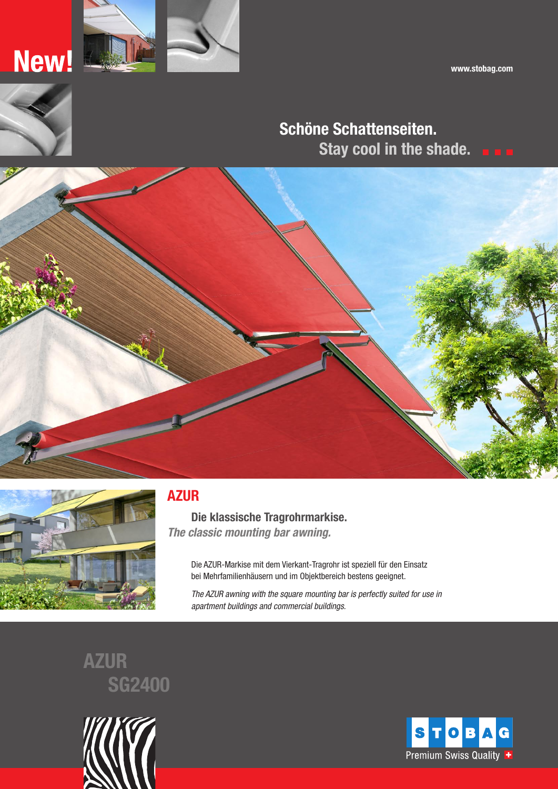www.stobag.com





New!

# Schöne Schattenseiten. Stay cool in the shade.





## AZUR

Die klassische Tragrohrmarkise. The classic mounting bar awning.

> Die AZUR-Markise mit dem Vierkant-Tragrohr ist speziell für den Einsatz bei Mehrfamilienhäusern und im Objektbereich bestens geeignet.

The AZUR awning with the square mounting bar is perfectly suited for use in apartment buildings and commercial buildings.

AZUR SG2400